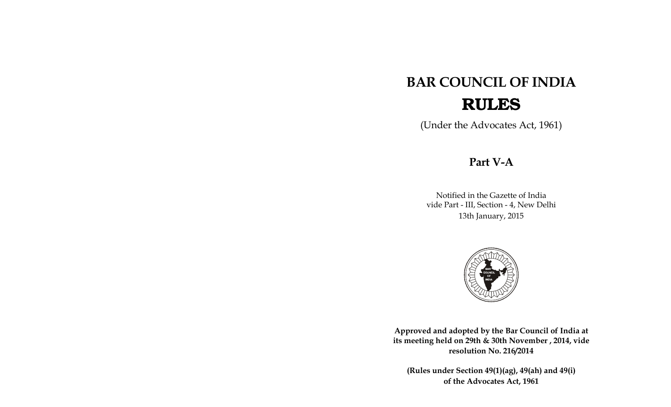# **BAR COUNCIL OF INDIA RULES**

(Under the Advocates Act, 1961)

## Part V-A

Notified in the Gazette of India vide Part - III, Section - 4, New Delhi 13th January, 2015



Approved and adopted by the Bar Council of India at its meeting held on 29th & 30th November, 2014, vide resolution No. 216/2014

(Rules under Section 49(1)(ag), 49(ah) and 49(i) of the Advocates Act, 1961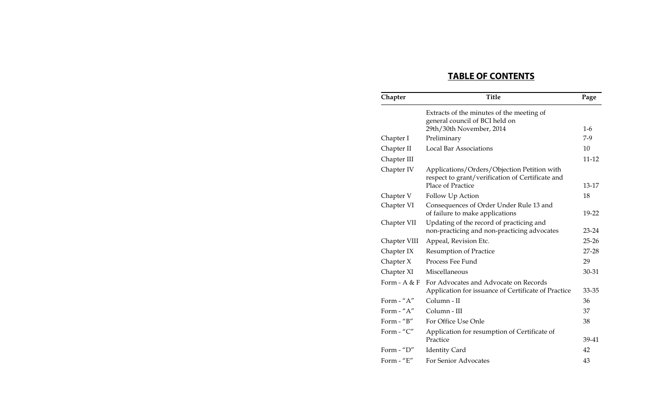## **TABLE OF CONTENTS**

| Chapter                            | <b>Title</b>                                                                                                         | Page      |
|------------------------------------|----------------------------------------------------------------------------------------------------------------------|-----------|
|                                    | Extracts of the minutes of the meeting of<br>general council of BCI held on                                          |           |
|                                    | 29th/30th November, 2014                                                                                             | $1-6$     |
| Chapter I                          | Preliminary                                                                                                          | $7-9$     |
| Chapter II                         | <b>Local Bar Associations</b>                                                                                        | 10        |
| Chapter III                        |                                                                                                                      | 11-12     |
| Chapter IV                         | Applications/Orders/Objection Petition with<br>respect to grant/verification of Certificate and<br>Place of Practice | 13-17     |
| Chapter V                          | Follow Up Action                                                                                                     | 18        |
| Chapter VI                         | Consequences of Order Under Rule 13 and<br>of failure to make applications                                           | 19-22     |
| Chapter VII                        | Updating of the record of practicing and<br>non-practicing and non-practicing advocates                              | $23 - 24$ |
| Chapter VIII                       | Appeal, Revision Etc.                                                                                                | $25 - 26$ |
| Chapter IX                         | <b>Resumption of Practice</b>                                                                                        | $27 - 28$ |
| Chapter $X$                        | Process Fee Fund                                                                                                     | 29        |
| Chapter XI                         | Miscellaneous                                                                                                        | 30-31     |
| Form $- A & F$                     | For Advocates and Advocate on Records<br>Application for issuance of Certificate of Practice                         | 33-35     |
| Form - "A"                         | Column - II                                                                                                          | 36        |
| Form - "A"                         | Column - III                                                                                                         | 37        |
| Form $-$ " $B$ "                   | For Office Use Onle                                                                                                  | 38        |
| Form - "C"                         | Application for resumption of Certificate of<br>Practice                                                             | 39-41     |
| Form $\mathcal{L}$ $\mathcal{D}$ " | <b>Identity Card</b>                                                                                                 | 42        |
| Form - "E"                         | For Senior Advocates                                                                                                 | 43        |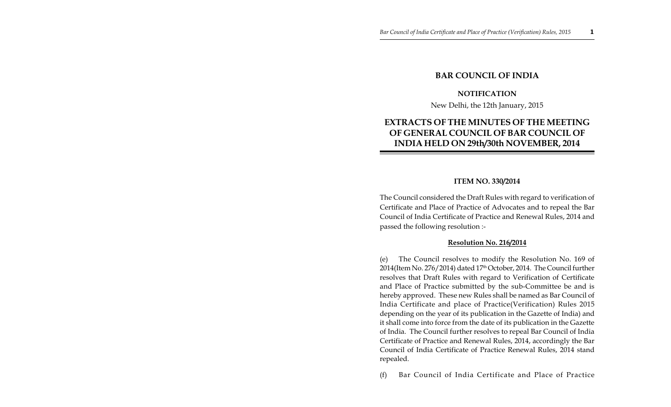## **BAR COUNCIL OF INDIA**

#### **NOTIFICATION**

New Delhi, the 12th January, 2015

## **EXTRACTS OF THE MINUTES OF THE MEETING OF GENERAL COUNCIL OF BAR COUNCIL OF INDIA HELD ON 29th/30th NOVEMBER, 2014**

#### **ITEM NO. 330/2014**

The Council considered the Draft Rules with regard to verification of Certificate and Place of Practice of Advocates and to repeal the Bar Council of India Certificate of Practice and Renewal Rules, 2014 and passed the following resolution :-

#### **Resolution No. 216/2014**

(e) The Council resolves to modify the Resolution No. 169 of 2014(Item No. 276/2014) dated 17<sup>th</sup> October, 2014. The Council further resolves that Draft Rules with regard to Verification of Certificate and Place of Practice submitted by the sub-Committee be and is hereby approved. These new Rules shall be named as Bar Council of India Certificate and place of Practice(Verification) Rules 2015 depending on the year of its publication in the Gazette of India) and it shall come into force from the date of its publication in the Gazette of India. The Council further resolves to repeal Bar Council of India Certificate of Practice and Renewal Rules, 2014, accordingly the Bar Council of India Certificate of Practice Renewal Rules, 2014 stand repealed.

(f) Bar Council of India Certificate and Place of Practice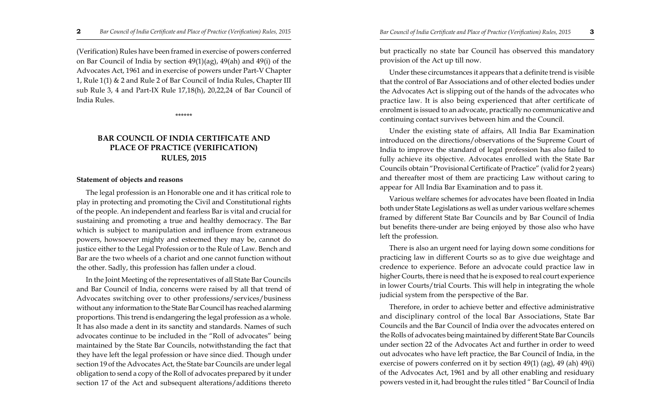(Verification) Rules have been framed in exercise of powers conferred on Bar Council of India by section 49(1)(ag), 49(ah) and 49(i) of the Advocates Act, 1961 and in exercise of powers under Part-V Chapter 1, Rule 1(1) & 2 and Rule 2 of Bar Council of India Rules, Chapter III sub Rule 3, 4 and Part-IX Rule 17,18(h), 20,22,24 of Bar Council of India Rules.

\*\*\*\*\*\*

## **BAR COUNCIL OF INDIA CERTIFICATE AND PLACE OF PRACTICE (VERIFICATION) RULES, 2015**

#### **Statement of objects and reasons**

The legal profession is an Honorable one and it has critical role to play in protecting and promoting the Civil and Constitutional rights of the people. An independent and fearless Bar is vital and crucial for sustaining and promoting a true and healthy democracy. The Bar which is subject to manipulation and influence from extraneous powers, howsoever mighty and esteemed they may be, cannot do justice either to the Legal Profession or to the Rule of Law. Bench and Bar are the two wheels of a chariot and one cannot function without the other. Sadly, this profession has fallen under a cloud.

In the Joint Meeting of the representatives of all State Bar Councils and Bar Council of India, concerns were raised by all that trend of Advocates switching over to other professions/services/business without any information to the State Bar Council has reached alarming proportions. This trend is endangering the legal profession as a whole. It has also made a dent in its sanctity and standards. Names of such advocates continue to be included in the "Roll of advocates" being maintained by the State Bar Councils, notwithstanding the fact that they have left the legal profession or have since died. Though under section 19 of the Advocates Act, the State bar Councils are under legal obligation to send a copy of the Roll of advocates prepared by it under section 17 of the Act and subsequent alterations/additions thereto but practically no state bar Council has observed this mandatory provision of the Act up till now.

Under these circumstances it appears that a definite trend is visible that the control of Bar Associations and of other elected bodies under the Advocates Act is slipping out of the hands of the advocates who practice law. It is also being experienced that after certificate of enrolment is issued to an advocate, practically no communicative and continuing contact survives between him and the Council.

Under the existing state of affairs, All India Bar Examination introduced on the directions/observations of the Supreme Court of India to improve the standard of legal profession has also failed to fully achieve its objective. Advocates enrolled with the State Bar Councils obtain "Provisional Certificate of Practice" (valid for 2 years) and thereafter most of them are practicing Law without caring to appear for All India Bar Examination and to pass it.

Various welfare schemes for advocates have been floated in India both under State Legislations as well as under various welfare schemes framed by different State Bar Councils and by Bar Council of India but benefits there-under are being enjoyed by those also who have left the profession.

There is also an urgent need for laying down some conditions for practicing law in different Courts so as to give due weightage and credence to experience. Before an advocate could practice law in higher Courts, there is need that he is exposed to real court experience in lower Courts/trial Courts. This will help in integrating the whole judicial system from the perspective of the Bar.

Therefore, in order to achieve better and effective administrative and disciplinary control of the local Bar Associations, State Bar Councils and the Bar Council of India over the advocates entered on the Rolls of advocates being maintained by different State Bar Councils under section 22 of the Advocates Act and further in order to weed out advocates who have left practice, the Bar Council of India, in the exercise of powers conferred on it by section 49(1) (ag), 49 (ah) 49(i) of the Advocates Act, 1961 and by all other enabling and residuary powers vested in it, had brought the rules titled " Bar Council of India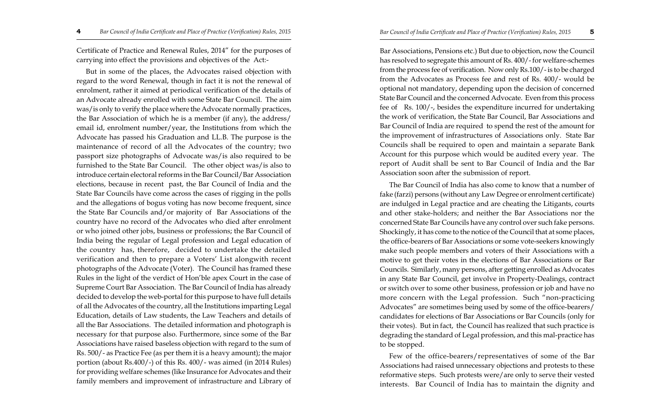Certificate of Practice and Renewal Rules, 2014" for the purposes of carrying into effect the provisions and objectives of the Act:-

But in some of the places, the Advocates raised objection with regard to the word Renewal, though in fact it is not the renewal of enrolment, rather it aimed at periodical verification of the details of an Advocate already enrolled with some State Bar Council. The aim was/is only to verify the place where the Advocate normally practices, the Bar Association of which he is a member (if any), the address/ email id, enrolment number/year, the Institutions from which the Advocate has passed his Graduation and LL.B. The purpose is the maintenance of record of all the Advocates of the country; two passport size photographs of Advocate was/is also required to be furnished to the State Bar Council. The other object was/is also to introduce certain electoral reforms in the Bar Council/Bar Association elections, because in recent past, the Bar Council of India and the State Bar Councils have come across the cases of rigging in the polls and the allegations of bogus voting has now become frequent, since the State Bar Councils and/or majority of Bar Associations of the country have no record of the Advocates who died after enrolment or who joined other jobs, business or professions; the Bar Council of India being the regular of Legal profession and Legal education of the country has, therefore, decided to undertake the detailed verification and then to prepare a Voters' List alongwith recent photographs of the Advocate (Voter). The Council has framed these Rules in the light of the verdict of Hon'ble apex Court in the case of Supreme Court Bar Association. The Bar Council of India has already decided to develop the web-portal for this purpose to have full details of all the Advocates of the country, all the Institutions imparting Legal Education, details of Law students, the Law Teachers and details of all the Bar Associations. The detailed information and photograph is necessary for that purpose also. Furthermore, since some of the Bar Associations have raised baseless objection with regard to the sum of Rs. 500/- as Practice Fee (as per them it is a heavy amount); the major portion (about Rs.400/-) of this Rs. 400/- was aimed (in 2014 Rules) for providing welfare schemes (like Insurance for Advocates and their family members and improvement of infrastructure and Library of

Bar Associations, Pensions etc.) But due to objection, now the Council has resolved to segregate this amount of Rs. 400/- for welfare-schemes from the process fee of verification. Now only Rs.100/- is to be charged from the Advocates as Process fee and rest of Rs. 400/- would be optional not mandatory, depending upon the decision of concerned State Bar Council and the concerned Advocate. Even from this process fee of Rs. 100/-, besides the expenditure incurred for undertaking the work of verification, the State Bar Council, Bar Associations and Bar Council of India are required to spend the rest of the amount for the improvement of infrastructures of Associations only. State Bar Councils shall be required to open and maintain a separate Bank Account for this purpose which would be audited every year. The report of Audit shall be sent to Bar Council of India and the Bar Association soon after the submission of report.

The Bar Council of India has also come to know that a number of fake (farzi) persons (without any Law Degree or enrolment certificate) are indulged in Legal practice and are cheating the Litigants, courts and other stake-holders; and neither the Bar Associations nor the concerned State Bar Councils have any control over such fake persons. Shockingly, it has come to the notice of the Council that at some places, the office-bearers of Bar Associations or some vote-seekers knowingly make such people members and voters of their Associations with a motive to get their votes in the elections of Bar Associations or Bar Councils. Similarly, many persons, after getting enrolled as Advocates in any State Bar Council, get involve in Property-Dealings, contract or switch over to some other business, profession or job and have no more concern with the Legal profession. Such "non-practicing Advocates" are sometimes being used by some of the office-bearers/ candidates for elections of Bar Associations or Bar Councils (only for their votes). But in fact, the Council has realized that such practice is degrading the standard of Legal profession, and this mal-practice has to be stopped.

Few of the office-bearers/representatives of some of the Bar Associations had raised unnecessary objections and protests to these reformative steps. Such protests were/are only to serve their vested interests. Bar Council of India has to maintain the dignity and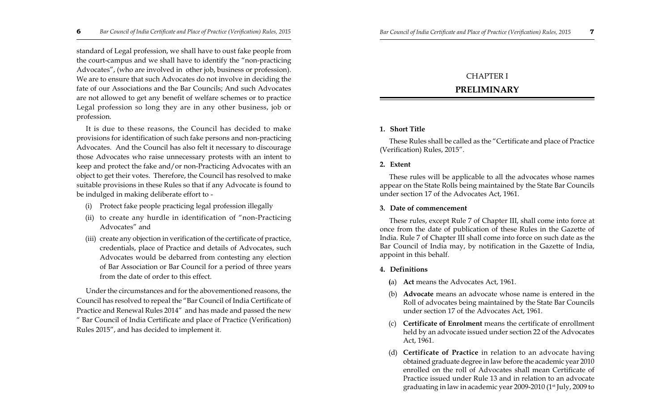standard of Legal profession, we shall have to oust fake people from the court-campus and we shall have to identify the "non-practicing Advocates", (who are involved in other job, business or profession). We are to ensure that such Advocates do not involve in deciding the fate of our Associations and the Bar Councils; And such Advocates are not allowed to get any benefit of welfare schemes or to practice Legal profession so long they are in any other business, job or profession.

It is due to these reasons, the Council has decided to make provisions for identification of such fake persons and non-practicing Advocates. And the Council has also felt it necessary to discourage those Advocates who raise unnecessary protests with an intent to keep and protect the fake and/or non-Practicing Advocates with an object to get their votes. Therefore, the Council has resolved to make suitable provisions in these Rules so that if any Advocate is found to be indulged in making deliberate effort to -

- (i) Protect fake people practicing legal profession illegally
- (ii) to create any hurdle in identification of "non-Practicing Advocates" and
- (iii) create any objection in verification of the certificate of practice, credentials, place of Practice and details of Advocates, such Advocates would be debarred from contesting any election of Bar Association or Bar Council for a period of three years from the date of order to this effect.

Under the circumstances and for the abovementioned reasons, the Council has resolved to repeal the "Bar Council of India Certificate of Practice and Renewal Rules 2014" and has made and passed the new " Bar Council of India Certificate and place of Practice (Verification) Rules 2015", and has decided to implement it.

## CHAPTER I

## **PRELIMINARY**

#### **1. Short Title**

These Rules shall be called as the "Certificate and place of Practice (Verification) Rules, 2015".

#### **2. Extent**

These rules will be applicable to all the advocates whose names appear on the State Rolls being maintained by the State Bar Councils under section 17 of the Advocates Act, 1961.

#### **3. Date of commencement**

These rules, except Rule 7 of Chapter III, shall come into force at once from the date of publication of these Rules in the Gazette of India. Rule 7 of Chapter III shall come into force on such date as the Bar Council of India may, by notification in the Gazette of India, appoint in this behalf.

#### **4. Definitions**

- **(**a) **Act** means the Advocates Act, 1961.
- Advocate means an advocate whose name is entered in the Roll of advocates being maintained by the State Bar Councils under section 17 of the Advocates Act, 1961.
- (c) **Certificate of Enrolment** means the certificate of enrollment held by an advocate issued under section 22 of the Advocates Act, 1961.
- (d) **Certificate of Practice** in relation to an advocate having obtained graduate degree in law before the academic year 2010 enrolled on the roll of Advocates shall mean Certificate of Practice issued under Rule 13 and in relation to an advocate graduating in law in academic year 2009-2010 (1<sup>st</sup> July, 2009 to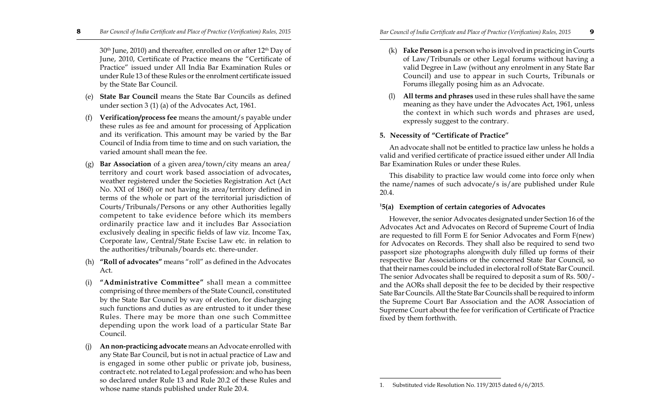30<sup>th</sup> June, 2010) and thereafter, enrolled on or after 12<sup>th</sup> Day of June, 2010, Certificate of Practice means the "Certificate of Practice" issued under All India Bar Examination Rules or under Rule 13 of these Rules or the enrolment certificate issued by the State Bar Council.

- (e) **State Bar Council** means the State Bar Councils as defined under section 3 (1) (a) of the Advocates Act, 1961.
- (f) **Verification/process fee** means the amount/s payable under these rules as fee and amount for processing of Application and its verification. This amount may be varied by the Bar Council of India from time to time and on such variation, the varied amount shall mean the fee.
- (g) **Bar Association** of a given area/town/city means an area/ territory and court work based association of advocates**,** weather registered under the Societies Registration Act (Act No. XXI of 1860) or not having its area/territory defined in terms of the whole or part of the territorial jurisdiction of Courts/Tribunals/Persons or any other Authorities legally competent to take evidence before which its members ordinarily practice law and it includes Bar Association exclusively dealing in specific fields of law viz. Income Tax, Corporate law, Central/State Excise Law etc. in relation to the authorities/tribunals/boards etc. there-under.
- (h) **"Roll of advocates"** means "roll" as defined in the Advocates Act.
- (i) **"Administrative Committee"** shall mean a committee comprising of three members of the State Council, constituted by the State Bar Council by way of election, for discharging such functions and duties as are entrusted to it under these Rules. There may be more than one such Committee depending upon the work load of a particular State Bar Council.
- (j) **An non-practicing advocate** means an Advocate enrolled with any State Bar Council, but is not in actual practice of Law and is engaged in some other public or private job, business, contract etc. not related to Legal profession: and who has been so declared under Rule 13 and Rule 20.2 of these Rules and whose name stands published under Rule 20.4. 1. 1. Substituted vide Resolution No. 119/2015 dated 6/6/2015.
- (k) **Fake Person** is a person who is involved in practicing in Courts of Law/Tribunals or other Legal forums without having a valid Degree in Law (without any enrolment in any State Bar Council) and use to appear in such Courts, Tribunals or Forums illegally posing him as an Advocate.
- All terms and phrases used in these rules shall have the same meaning as they have under the Advocates Act, 1961, unless the context in which such words and phrases are used, expressly suggest to the contrary.

## **5. Necessity of "Certificate of Practice"**

An advocate shall not be entitled to practice law unless he holds a valid and verified certificate of practice issued either under All India Bar Examination Rules or under these Rules.

This disability to practice law would come into force only when the name/names of such advocate/s is/are published under Rule 20.4.

## **<sup>1</sup>5(a) Exemption of certain categories of Advocates**

However, the senior Advocates designated under Section 16 of the Advocates Act and Advocates on Record of Supreme Court of India are requested to fill Form E for Senior Advocates and Form F(new) for Advocates on Records. They shall also be required to send two passport size photographs alongwith duly filled up forms of their respective Bar Associations or the concerned State Bar Council, so that their names could be included in electoral roll of State Bar Council. The senior Advocates shall be required to deposit a sum of Rs. 500/ and the AORs shall deposit the fee to be decided by their respective Sate Bar Councils. All the State Bar Councils shall be required to inform the Supreme Court Bar Association and the AOR Association of Supreme Court about the fee for verification of Certificate of Practice fixed by them forthwith.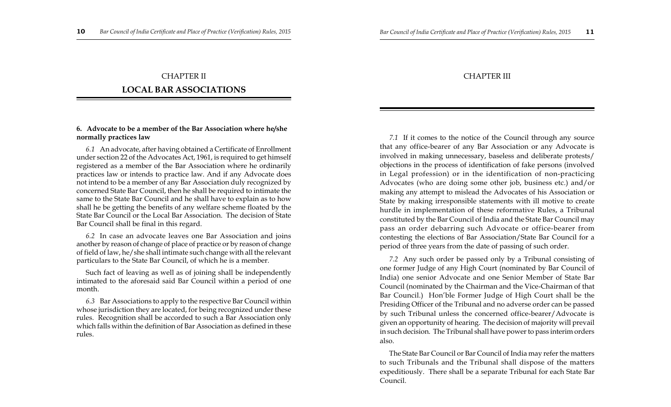## CHAPTER II **LOCAL BAR ASSOCIATIONS**

#### **6. Advocate to be a member of the Bar Association where he/she normally practices law**

*6.1* An advocate, after having obtained a Certificate of Enrollment under section 22 of the Advocates Act, 1961, is required to get himself registered as a member of the Bar Association where he ordinarily practices law or intends to practice law. And if any Advocate does not intend to be a member of any Bar Association duly recognized by concerned State Bar Council, then he shall be required to intimate the same to the State Bar Council and he shall have to explain as to how shall he be getting the benefits of any welfare scheme floated by the State Bar Council or the Local Bar Association. The decision of State Bar Council shall be final in this regard.

*6.2* In case an advocate leaves one Bar Association and joins another by reason of change of place of practice or by reason of change of field of law, he/she shall intimate such change with all the relevant particulars to the State Bar Council, of which he is a member.

Such fact of leaving as well as of joining shall be independently intimated to the aforesaid said Bar Council within a period of one month.

*6.3* Bar Associations to apply to the respective Bar Council within whose jurisdiction they are located, for being recognized under these rules. Recognition shall be accorded to such a Bar Association only which falls within the definition of Bar Association as defined in these rules.

## CHAPTER III

*7.1* If it comes to the notice of the Council through any source that any office-bearer of any Bar Association or any Advocate is involved in making unnecessary, baseless and deliberate protests/ objections in the process of identification of fake persons (involved in Legal profession) or in the identification of non-practicing Advocates (who are doing some other job, business etc.) and/or making any attempt to mislead the Advocates of his Association or State by making irresponsible statements with ill motive to create hurdle in implementation of these reformative Rules, a Tribunal constituted by the Bar Council of India and the State Bar Council may pass an order debarring such Advocate or office-bearer from contesting the elections of Bar Association/State Bar Council for a period of three years from the date of passing of such order.

*7.2* Any such order be passed only by a Tribunal consisting of one former Judge of any High Court (nominated by Bar Council of India) one senior Advocate and one Senior Member of State Bar Council (nominated by the Chairman and the Vice-Chairman of that Bar Council.) Hon'ble Former Judge of High Court shall be the Presiding Officer of the Tribunal and no adverse order can be passed by such Tribunal unless the concerned office-bearer/Advocate is given an opportunity of hearing. The decision of majority will prevail in such decision. The Tribunal shall have power to pass interim orders also.

The State Bar Council or Bar Council of India may refer the matters to such Tribunals and the Tribunal shall dispose of the matters expeditiously. There shall be a separate Tribunal for each State Bar Council.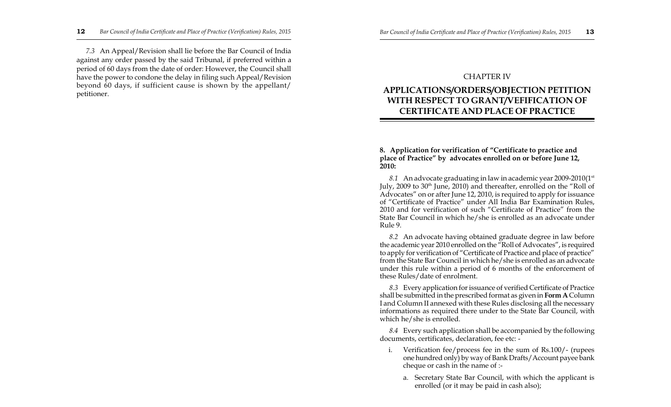*7.3* An Appeal/Revision shall lie before the Bar Council of India against any order passed by the said Tribunal, if preferred within a period of 60 days from the date of order: However, the Council shall have the power to condone the delay in filing such Appeal/Revision beyond 60 days, if sufficient cause is shown by the appellant/ petitioner.

## CHAPTER IV

## **APPLICATIONS/ORDERS/OBJECTION PETITION WITH RESPECT TO GRANT/VEFIFICATION OF CERTIFICATE AND PLACE OF PRACTICE**

#### **8. Application for verification of "Certificate to practice and place of Practice" by advocates enrolled on or before June 12, 2010:**

*8.1* An advocate graduating in law in academic year 2009-2010(1st July, 2009 to 30<sup>th</sup> June, 2010) and thereafter, enrolled on the "Roll of Advocates" on or after June 12, 2010, is required to apply for issuance of "Certificate of Practice" under All India Bar Examination Rules, 2010 and for verification of such "Certificate of Practice" from the State Bar Council in which he/she is enrolled as an advocate under Rule 9.

*8.2* An advocate having obtained graduate degree in law before the academic year 2010 enrolled on the "Roll of Advocates", is required to apply for verification of "Certificate of Practice and place of practice" from the State Bar Council in which he/she is enrolled as an advocate under this rule within a period of 6 months of the enforcement of these Rules/date of enrolment.

*8.3* Every application for issuance of verified Certificate of Practice shall be submitted in the prescribed format as given in **Form A** Column I and Column II annexed with these Rules disclosing all the necessary informations as required there under to the State Bar Council, with which he/she is enrolled.

*8.4* Every such application shall be accompanied by the following documents, certificates, declaration, fee etc: -

- i. Verification fee/process fee in the sum of Rs.100/- (rupees one hundred only) by way of Bank Drafts/Account payee bank cheque or cash in the name of :
	- a. Secretary State Bar Council, with which the applicant is enrolled (or it may be paid in cash also);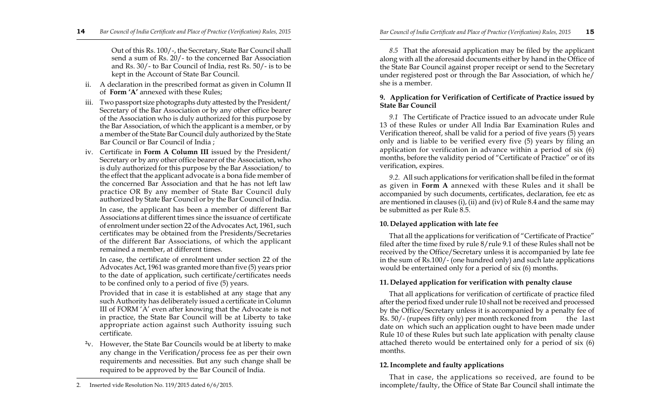Out of this Rs. 100/-, the Secretary, State Bar Council shall send a sum of Rs. 20/- to the concerned Bar Association and Rs. 30/- to Bar Council of India, rest Rs. 50/- is to be kept in the Account of State Bar Council.

- ii. A declaration in the prescribed format as given in Column II of **Form 'A'** annexed with these Rules;
- iii. Two passport size photographs duty attested by the President/ Secretary of the Bar Association or by any other office bearer of the Association who is duly authorized for this purpose by the Bar Association, of which the applicant is a member, or by a member of the State Bar Council duly authorized by the State Bar Council or Bar Council of India ;
- iv. Certificate in **Form A Column III** issued by the President/ Secretary or by any other office bearer of the Association, who is duly authorized for this purpose by the Bar Association/ to the effect that the applicant advocate is a bona fide member of the concerned Bar Association and that he has not left law practice OR By any member of State Bar Council duly authorized by State Bar Council or by the Bar Council of India.

In case, the applicant has been a member of different Bar Associations at different times since the issuance of certificate of enrolment under section 22 of the Advocates Act, 1961, such certificates may be obtained from the Presidents/Secretaries of the different Bar Associations, of which the applicant remained a member, at different times.

In case, the certificate of enrolment under section 22 of the Advocates Act, 1961 was granted more than five (5) years prior to the date of application, such certificate/certificates needs to be confined only to a period of five (5) years.

Provided that in case it is established at any stage that any such Authority has deliberately issued a certificate in Column III of FORM 'A' even after knowing that the Advocate is not in practice, the State Bar Council will be at Liberty to take appropriate action against such Authority issuing such certificate.

**<sup>2</sup>**v. However, the State Bar Councils would be at liberty to make any change in the Verification/process fee as per their own requirements and necessities. But any such change shall be required to be approved by the Bar Council of India.

*8.5* That the aforesaid application may be filed by the applicant along with all the aforesaid documents either by hand in the Office of the State Bar Council against proper receipt or send to the Secretary under registered post or through the Bar Association, of which he/ she is a member.

### **9. Application for Verification of Certificate of Practice issued by State Bar Council**

*9.1* The Certificate of Practice issued to an advocate under Rule 13 of these Rules or under All India Bar Examination Rules and Verification thereof, shall be valid for a period of five years (5) years only and is liable to be verified every five (5) years by filing an application for verification in advance within a period of six (6) months, before the validity period of "Certificate of Practice" or of its verification, expires.

*9.2.* All such applications for verification shall be filed in the format as given in **Form A** annexed with these Rules and it shall be accompanied by such documents, certificates, declaration, fee etc as are mentioned in clauses (i), (ii) and (iv) of Rule 8.4 and the same may be submitted as per Rule 8.5.

## **10. Delayed application with late fee**

That all the applications for verification of "Certificate of Practice" filed after the time fixed by rule 8/rule 9.1 of these Rules shall not be received by the Office/Secretary unless it is accompanied by late fee in the sum of Rs.100/- (one hundred only) and such late applications would be entertained only for a period of six (6) months.

## **11. Delayed application for verification with penalty clause**

That all applications for verification of certificate of practice filed after the period fixed under rule 10 shall not be received and processed by the Office/Secretary unless it is accompanied by a penalty fee of Rs. 50/- (rupees fifty only) per month reckoned from the last date on which such an application ought to have been made under Rule 10 of these Rules but such late application with penalty clause attached thereto would be entertained only for a period of six (6) months.

## **12.Incomplete and faulty applications**

That in case, the applications so received, are found to be incomplete/faulty, the Office of State Bar Council shall intimate the

<sup>2.</sup> Inserted vide Resolution No. 119/2015 dated 6/6/2015.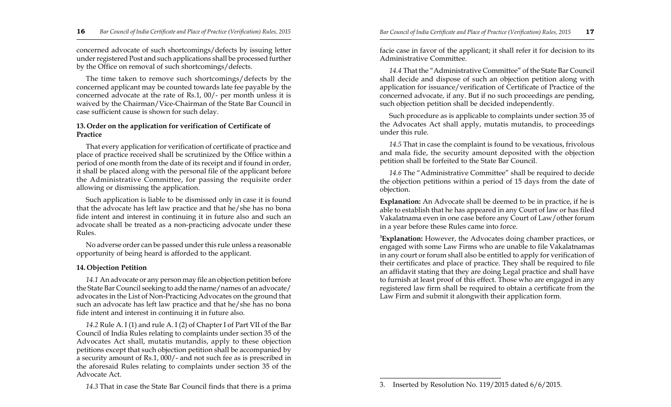concerned advocate of such shortcomings/defects by issuing letter under registered Post and such applications shall be processed further by the Office on removal of such shortcomings/defects.

The time taken to remove such shortcomings/defects by the concerned applicant may be counted towards late fee payable by the concerned advocate at the rate of Rs.1, 00/- per month unless it is waived by the Chairman/Vice-Chairman of the State Bar Council in case sufficient cause is shown for such delay.

#### **13. Order on the application for verification of Certificate of Practice**

That every application for verification of certificate of practice and place of practice received shall be scrutinized by the Office within a period of one month from the date of its receipt and if found in order, it shall be placed along with the personal file of the applicant before the Administrative Committee, for passing the requisite order allowing or dismissing the application.

Such application is liable to be dismissed only in case it is found that the advocate has left law practice and that he/she has no bona fide intent and interest in continuing it in future also and such an advocate shall be treated as a non-practicing advocate under these Rules.

No adverse order can be passed under this rule unless a reasonable opportunity of being heard is afforded to the applicant.

#### **14. Objection Petition**

*14.1* An advocate or any person may file an objection petition before the State Bar Council seeking to add the name/names of an advocate/ advocates in the List of Non-Practicing Advocates on the ground that such an advocate has left law practice and that he/she has no bona fide intent and interest in continuing it in future also.

*14.2* Rule A. I (1) and rule A. I (2) of Chapter I of Part VII of the Bar Council of India Rules relating to complaints under section 35 of the Advocates Act shall, mutatis mutandis, apply to these objection petitions except that such objection petition shall be accompanied by a security amount of Rs.1, 000/- and not such fee as is prescribed in the aforesaid Rules relating to complaints under section 35 of the Advocate Act.

facie case in favor of the applicant; it shall refer it for decision to its Administrative Committee.

*14.4* That the "Administrative Committee" of the State Bar Council shall decide and dispose of such an objection petition along with application for issuance/verification of Certificate of Practice of the concerned advocate, if any. But if no such proceedings are pending, such objection petition shall be decided independently.

Such procedure as is applicable to complaints under section 35 of the Advocates Act shall apply, mutatis mutandis, to proceedings under this rule.

*14.5* That in case the complaint is found to be vexatious, frivolous and mala fide, the security amount deposited with the objection petition shall be forfeited to the State Bar Council.

*14.6* The "Administrative Committee" shall be required to decide the objection petitions within a period of 15 days from the date of objection.

**Explanation:** An Advocate shall be deemed to be in practice, if he is able to establish that he has appeared in any Court of law or has filed Vakalatnama even in one case before any Court of Law/other forum in a year before these Rules came into force.

**<sup>3</sup>Explanation:** However, the Advocates doing chamber practices, or engaged with some Law Firms who are unable to file Vakalatnamas in any court or forum shall also be entitled to apply for verification of their certificates and place of practice. They shall be required to file an affidavit stating that they are doing Legal practice and shall have to furnish at least proof of this effect. Those who are engaged in any registered law firm shall be required to obtain a certificate from the Law Firm and submit it alongwith their application form.

*<sup>14.3</sup>* That in case the State Bar Council finds that there is a prima 3. Inserted by Resolution No. 119/2015 dated 6/6/2015.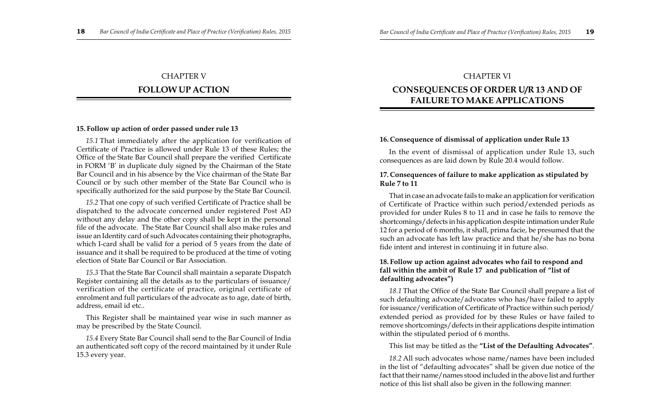## CHAPTER V

## **FOLLOW UP ACTION**

### **15. Follow up action of order passed under rule 13**

*15.1* That immediately after the application for verification of Certificate of Practice is allowed under Rule 13 of these Rules; the Office of the State Bar Council shall prepare the verified Certificate in FORM 'B' in duplicate duly signed by the Chairman of the State Bar Council and in his absence by the Vice chairman of the State Bar Council or by such other member of the State Bar Council who is specifically authorized for the said purpose by the State Bar Council.

*15.2* That one copy of such verified Certificate of Practice shall be dispatched to the advocate concerned under registered Post AD without any delay and the other copy shall be kept in the personal file of the advocate. The State Bar Council shall also make rules and issue an Identity card of such Advocates containing their photographs, which I-card shall be valid for a period of 5 years from the date of issuance and it shall be required to be produced at the time of voting election of State Bar Council or Bar Association.

*15.3* That the State Bar Council shall maintain a separate Dispatch Register containing all the details as to the particulars of issuance/ verification of the certificate of practice, original certificate of enrolment and full particulars of the advocate as to age, date of birth, address, email id etc..

This Register shall be maintained year wise in such manner as may be prescribed by the State Council.

*15.4* Every State Bar Council shall send to the Bar Council of India an authenticated soft copy of the record maintained by it under Rule 15.3 every year.

## CHAPTER VI **CONSEQUENCES OF ORDER U/R 13 AND OF FAILURE TO MAKE APPLICATIONS**

#### **16. Consequence of dismissal of application under Rule 13**

In the event of dismissal of application under Rule 13, such consequences as are laid down by Rule 20.4 would follow.

### **17. Consequences of failure to make application as stipulated by Rule 7 to 11**

That in case an advocate fails to make an application for verification of Certificate of Practice within such period/extended periods as provided for under Rules 8 to 11 and in case he fails to remove the shortcomings/defects in his application despite intimation under Rule 12 for a period of 6 months, it shall, prima facie, be presumed that the such an advocate has left law practice and that he/she has no bona fide intent and interest in continuing it in future also.

### **18. Follow up action against advocates who fail to respond and fall within the ambit of Rule 17 and publication of "list of defaulting advocates")**

*18.1* That the Office of the State Bar Council shall prepare a list of such defaulting advocate/advocates who has/have failed to apply for issuance/verification of Certificate of Practice within such period/ extended period as provided for by these Rules or have failed to remove shortcomings/defects in their applications despite intimation within the stipulated period of 6 months.

This list may be titled as the **"List of the Defaulting Advocates"**.

*18.2* All such advocates whose name/names have been included in the list of "defaulting advocates" shall be given due notice of the fact that their name/names stood included in the above list and further notice of this list shall also be given in the following manner: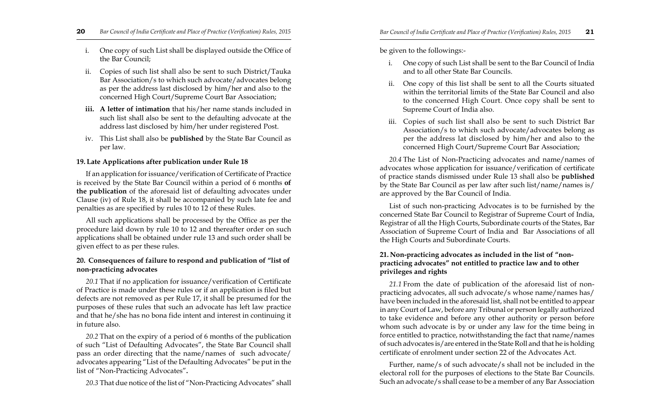- i. One copy of such List shall be displayed outside the Office of the Bar Council;
- ii. Copies of such list shall also be sent to such District/Tauka Bar Association/s to which such advocate/advocates belong as per the address last disclosed by him/her and also to the concerned High Court/Supreme Court Bar Association;
- **iii. A letter of intimation** that his/her name stands included in such list shall also be sent to the defaulting advocate at the address last disclosed by him/her under registered Post.
- iv. This List shall also be **published** by the State Bar Council as per law.

## **19. Late Applications after publication under Rule 18**

If an application for issuance/verification of Certificate of Practice is received by the State Bar Council within a period of 6 months **of the publication** of the aforesaid list of defaulting advocates under Clause (iv) of Rule 18, it shall be accompanied by such late fee and penalties as are specified by rules 10 to 12 of these Rules.

All such applications shall be processed by the Office as per the procedure laid down by rule 10 to 12 and thereafter order on such applications shall be obtained under rule 13 and such order shall be given effect to as per these rules.

## **20. Consequences of failure to respond and publication of "list of non-practicing advocates**

*20.1* That if no application for issuance/verification of Certificate of Practice is made under these rules or if an application is filed but defects are not removed as per Rule 17, it shall be presumed for the purposes of these rules that such an advocate has left law practice and that he/she has no bona fide intent and interest in continuing it in future also.

*20.2* That on the expiry of a period of 6 months of the publication of such "List of Defaulting Advocates", the State Bar Council shall pass an order directing that the name/names of such advocate/ advocates appearing "List of the Defaulting Advocates" be put in the list of "Non-Practicing Advocates"**.**

*20.3* That due notice of the list of "Non-Practicing Advocates" shall

be given to the followings:-

- i. One copy of such List shall be sent to the Bar Council of India and to all other State Bar Councils.
- ii. One copy of this list shall be sent to all the Courts situated within the territorial limits of the State Bar Council and also to the concerned High Court. Once copy shall be sent to Supreme Court of India also.
- iii. Copies of such list shall also be sent to such District Bar Association/s to which such advocate/advocates belong as per the address lat disclosed by him/her and also to the concerned High Court/Supreme Court Bar Association;

*20.4* The List of Non-Practicing advocates and name/names of advocates whose application for issuance/verification of certificate of practice stands dismissed under Rule 13 shall also be **published** by the State Bar Council as per law after such list/name/names is/ are approved by the Bar Council of India.

List of such non-practicing Advocates is to be furnished by the concerned State Bar Council to Registrar of Supreme Court of India, Registrar of all the High Courts, Subordinate courts of the States, Bar Association of Supreme Court of India and Bar Associations of all the High Courts and Subordinate Courts.

## **21. Non-practicing advocates as included in the list of "nonpracticing advocates" not entitled to practice law and to other privileges and rights**

*21.1* From the date of publication of the aforesaid list of nonpracticing advocates, all such advocate/s whose name/names has/ have been included in the aforesaid list, shall not be entitled to appear in any Court of Law, before any Tribunal or person legally authorized to take evidence and before any other authority or person before whom such advocate is by or under any law for the time being in force entitled to practice, notwithstanding the fact that name/names of such advocates is/are entered in the State Roll and that he is holding certificate of enrolment under section 22 of the Advocates Act.

Further, name/s of such advocate/s shall not be included in the electoral roll for the purposes of elections to the State Bar Councils. Such an advocate/s shall cease to be a member of any Bar Association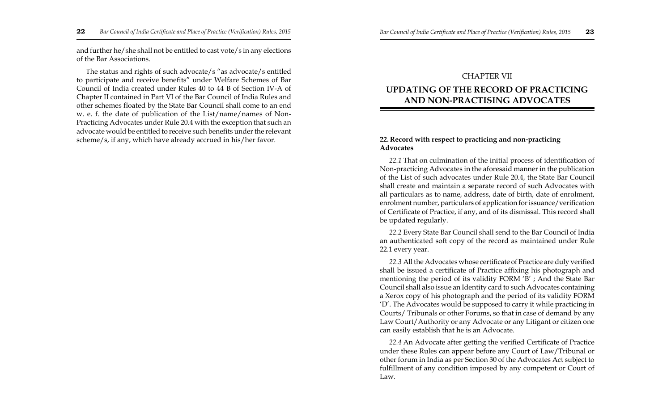and further he/she shall not be entitled to cast vote/s in any elections of the Bar Associations.

The status and rights of such advocate/s "as advocate/s entitled to participate and receive benefits" under Welfare Schemes of Bar Council of India created under Rules 40 to 44 B of Section IV-A of Chapter II contained in Part VI of the Bar Council of India Rules and other schemes floated by the State Bar Council shall come to an end w. e. f. the date of publication of the List/name/names of Non-Practicing Advocates under Rule 20.4 with the exception that such an advocate would be entitled to receive such benefits under the relevant scheme/s, if any, which have already accrued in his/her favor.

#### CHAPTER VII

## **UPDATING OF THE RECORD OF PRACTICING AND NON-PRACTISING ADVOCATES**

#### **22. Record with respect to practicing and non-practicing Advocates**

*22.1* That on culmination of the initial process of identification of Non-practicing Advocates in the aforesaid manner in the publication of the List of such advocates under Rule 20.4, the State Bar Council shall create and maintain a separate record of such Advocates with all particulars as to name, address, date of birth, date of enrolment, enrolment number, particulars of application for issuance/verification of Certificate of Practice, if any, and of its dismissal. This record shall be updated regularly.

*22.2* Every State Bar Council shall send to the Bar Council of India an authenticated soft copy of the record as maintained under Rule 22.1 every year.

*22.3* All the Advocates whose certificate of Practice are duly verified shall be issued a certificate of Practice affixing his photograph and mentioning the period of its validity FORM 'B' ; And the State Bar Council shall also issue an Identity card to such Advocates containing a Xerox copy of his photograph and the period of its validity FORM 'D'. The Advocates would be supposed to carry it while practicing in Courts/ Tribunals or other Forums, so that in case of demand by any Law Court/Authority or any Advocate or any Litigant or citizen one can easily establish that he is an Advocate.

*22.4* An Advocate after getting the verified Certificate of Practice under these Rules can appear before any Court of Law/Tribunal or other forum in India as per Section 30 of the Advocates Act subject to fulfillment of any condition imposed by any competent or Court of Law.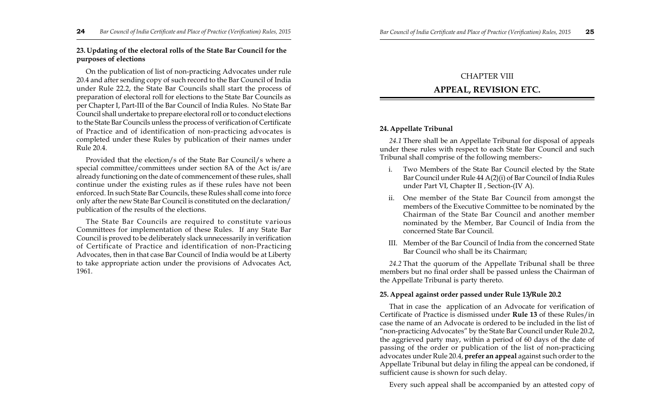## **23. Updating of the electoral rolls of the State Bar Council for the purposes of elections**

On the publication of list of non-practicing Advocates under rule 20.4 and after sending copy of such record to the Bar Council of India under Rule 22.2, the State Bar Councils shall start the process of preparation of electoral roll for elections to the State Bar Councils as per Chapter I, Part-III of the Bar Council of India Rules. No State Bar Council shall undertake to prepare electoral roll or to conduct elections to the State Bar Councils unless the process of verification of Certificate of Practice and of identification of non-practicing advocates is completed under these Rules by publication of their names under Rule 20.4.

Provided that the election/s of the State Bar Council/s where a special committee/committees under section 8A of the Act is/are already functioning on the date of commencement of these rules, shall continue under the existing rules as if these rules have not been enforced. In such State Bar Councils, these Rules shall come into force only after the new State Bar Council is constituted on the declaration/ publication of the results of the elections.

The State Bar Councils are required to constitute various Committees for implementation of these Rules. If any State Bar Council is proved to be deliberately slack unnecessarily in verification of Certificate of Practice and identification of non-Practicing Advocates, then in that case Bar Council of India would be at Liberty to take appropriate action under the provisions of Advocates Act, 1961.

## CHAPTER VIII **APPEAL, REVISION ETC.**

## **24. Appellate Tribunal**

*24.1* There shall be an Appellate Tribunal for disposal of appeals under these rules with respect to each State Bar Council and such Tribunal shall comprise of the following members:-

- i. Two Members of the State Bar Council elected by the State Bar Council under Rule 44 A(2)(i) of Bar Council of India Rules under Part VI, Chapter II , Section-(IV A).
- ii. One member of the State Bar Council from amongst the members of the Executive Committee to be nominated by the Chairman of the State Bar Council and another member nominated by the Member, Bar Council of India from the concerned State Bar Council.
- III. Member of the Bar Council of India from the concerned State Bar Council who shall be its Chairman;

*24.2* That the quorum of the Appellate Tribunal shall be three members but no final order shall be passed unless the Chairman of the Appellate Tribunal is party thereto.

## **25. Appeal against order passed under Rule 13/Rule 20.2**

That in case the application of an Advocate for verification of Certificate of Practice is dismissed under **Rule 13** of these Rules/in case the name of an Advocate is ordered to be included in the list of "non-practicing Advocates" by the State Bar Council under Rule 20.2, the aggrieved party may, within a period of 60 days of the date of passing of the order or publication of the list of non-practicing advocates under Rule 20.4, **prefer an appeal** against such order to the Appellate Tribunal but delay in filing the appeal can be condoned, if sufficient cause is shown for such delay.

Every such appeal shall be accompanied by an attested copy of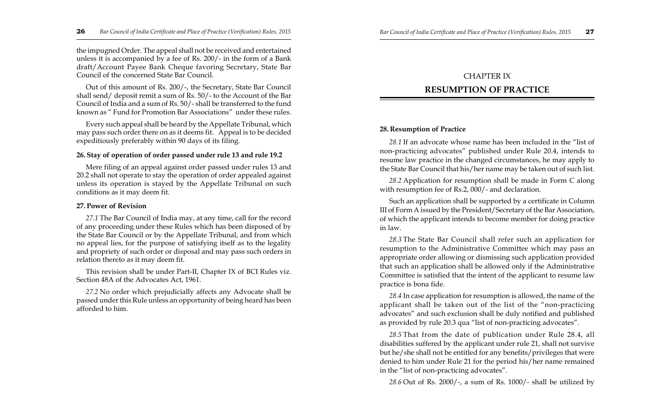the impugned Order. The appeal shall not be received and entertained unless it is accompanied by a fee of Rs. 200/- in the form of a Bank draft/Account Payee Bank Cheque favoring Secretary, State Bar Council of the concerned State Bar Council.

Out of this amount of Rs. 200/-, the Secretary, State Bar Council shall send/ deposit remit a sum of Rs. 50/- to the Account of the Bar Council of India and a sum of Rs. 50/- shall be transferred to the fund known as " Fund for Promotion Bar Associations" under these rules.

Every such appeal shall be heard by the Appellate Tribunal, which may pass such order there on as it deems fit. Appeal is to be decided expeditiously preferably within 90 days of its filing.

#### **26. Stay of operation of order passed under rule 13 and rule 19.2**

Mere filing of an appeal against order passed under rules 13 and 20.2 shall not operate to stay the operation of order appealed against unless its operation is stayed by the Appellate Tribunal on such conditions as it may deem fit.

#### **27. Power of Revision**

*27.1* The Bar Council of India may, at any time, call for the record of any proceeding under these Rules which has been disposed of by the State Bar Council or by the Appellate Tribunal, and from which no appeal lies, for the purpose of satisfying itself as to the legality and propriety of such order or disposal and may pass such orders in relation thereto as it may deem fit.

This revision shall be under Part-II, Chapter IX of BCI Rules viz. Section 48A of the Advocates Act, 1961.

*27.2* No order which prejudicially affects any Advocate shall be passed under this Rule unless an opportunity of being heard has been afforded to him.

## CHAPTER IX **RESUMPTION OF PRACTICE**

#### **28. Resumption of Practice**

*28.1* If an advocate whose name has been included in the "list of non-practicing advocates" published under Rule 20.4, intends to resume law practice in the changed circumstances, he may apply to the State Bar Council that his/her name may be taken out of such list.

*28.2* Application for resumption shall be made in Form C along with resumption fee of Rs.2, 000/- and declaration.

Such an application shall be supported by a certificate in Column III of Form A issued by the President/Secretary of the Bar Association, of which the applicant intends to become member for doing practice in law.

*28.3* The State Bar Council shall refer such an application for resumption to the Administrative Committee which may pass an appropriate order allowing or dismissing such application provided that such an application shall be allowed only if the Administrative Committee is satisfied that the intent of the applicant to resume law practice is bona fide.

*28.4* In case application for resumption is allowed, the name of the applicant shall be taken out of the list of the "non-practicing advocates" and such exclusion shall be duly notified and published as provided by rule 20.3 qua "list of non-practicing advocates".

*28.5* That from the date of publication under Rule 28.4, all disabilities suffered by the applicant under rule 21, shall not survive but he/she shall not be entitled for any benefits/privileges that were denied to him under Rule 21 for the period his/her name remained in the "list of non-practicing advocates".

*28.6* Out of Rs. 2000/-, a sum of Rs. 1000/- shall be utilized by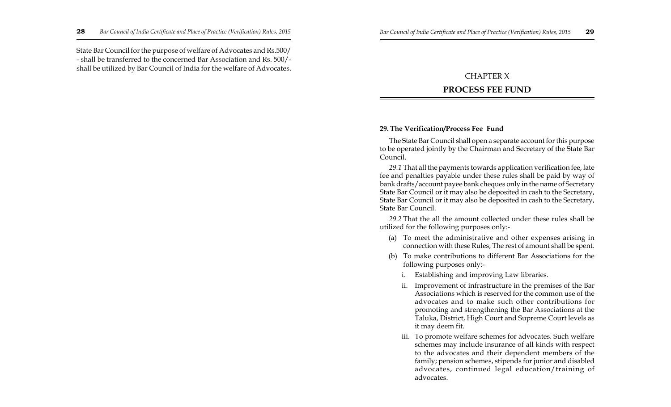State Bar Council for the purpose of welfare of Advocates and Rs.500/ - shall be transferred to the concerned Bar Association and Rs. 500/ shall be utilized by Bar Council of India for the welfare of Advocates.

## CHAPTER X

## **PROCESS FEE FUND**

## **29. The Verification/Process Fee Fund**

The State Bar Council shall open a separate account for this purpose to be operated jointly by the Chairman and Secretary of the State Bar Council.

*29.1* That all the payments towards application verification fee, late fee and penalties payable under these rules shall be paid by way of bank drafts/account payee bank cheques only in the name of Secretary State Bar Council or it may also be deposited in cash to the Secretary, State Bar Council or it may also be deposited in cash to the Secretary, State Bar Council.

*29.2* That the all the amount collected under these rules shall be utilized for the following purposes only:-

- (a) To meet the administrative and other expenses arising in connection with these Rules; The rest of amount shall be spent.
- (b) To make contributions to different Bar Associations for the following purposes only:
	- i. Establishing and improving Law libraries.
	- ii. Improvement of infrastructure in the premises of the Bar Associations which is reserved for the common use of the advocates and to make such other contributions for promoting and strengthening the Bar Associations at the Taluka, District, High Court and Supreme Court levels as it may deem fit.
	- iii. To promote welfare schemes for advocates. Such welfare schemes may include insurance of all kinds with respect to the advocates and their dependent members of the family; pension schemes, stipends for junior and disabled advocates, continued legal education/training of advocates.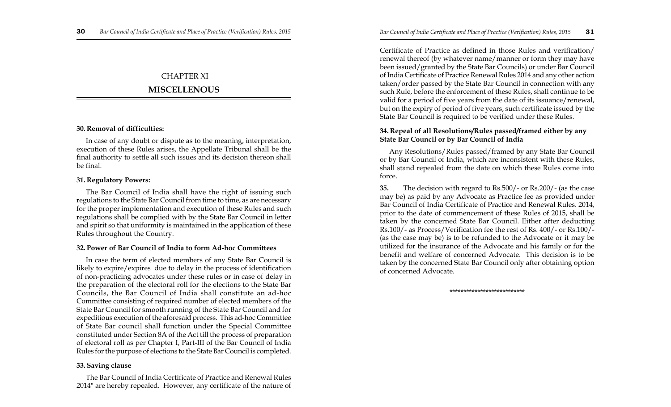## CHAPTER XI

## **MISCELLENOUS**

## **30. Removal of difficulties:**

In case of any doubt or dispute as to the meaning, interpretation, execution of these Rules arises, the Appellate Tribunal shall be the final authority to settle all such issues and its decision thereon shall be final.

### **31. Regulatory Powers:**

The Bar Council of India shall have the right of issuing such regulations to the State Bar Council from time to time, as are necessary for the proper implementation and execution of these Rules and such regulations shall be complied with by the State Bar Council in letter and spirit so that uniformity is maintained in the application of these Rules throughout the Country.

#### **32. Power of Bar Council of India to form Ad-hoc Committees**

In case the term of elected members of any State Bar Council is likely to expire/expires due to delay in the process of identification of non-practicing advocates under these rules or in case of delay in the preparation of the electoral roll for the elections to the State Bar Councils, the Bar Council of India shall constitute an ad-hoc Committee consisting of required number of elected members of the State Bar Council for smooth running of the State Bar Council and for expeditious execution of the aforesaid process. This ad-hoc Committee of State Bar council shall function under the Special Committee constituted under Section 8A of the Act till the process of preparation of electoral roll as per Chapter I, Part-III of the Bar Council of India Rules for the purpose of elections to the State Bar Council is completed.

## **33. Saving clause**

The Bar Council of India Certificate of Practice and Renewal Rules 2014" are hereby repealed. However, any certificate of the nature of

Certificate of Practice as defined in those Rules and verification/ renewal thereof (by whatever name/manner or form they may have been issued/granted by the State Bar Councils) or under Bar Council of India Certificate of Practice Renewal Rules 2014 and any other action taken/order passed by the State Bar Council in connection with any such Rule, before the enforcement of these Rules, shall continue to be valid for a period of five years from the date of its issuance/renewal, but on the expiry of period of five years, such certificate issued by the State Bar Council is required to be verified under these Rules.

### **34. Repeal of all Resolutions/Rules passed/framed either by any State Bar Council or by Bar Council of India**

Any Resolutions/Rules passed/framed by any State Bar Council or by Bar Council of India, which are inconsistent with these Rules, shall stand repealed from the date on which these Rules come into force.

**35.** The decision with regard to Rs.500/- or Rs.200/- (as the case may be) as paid by any Advocate as Practice fee as provided under Bar Council of India Certificate of Practice and Renewal Rules. 2014, prior to the date of commencement of these Rules of 2015, shall be taken by the concerned State Bar Council. Either after deducting Rs.100/- as Process/Verification fee the rest of Rs. 400/- or Rs.100/- (as the case may be) is to be refunded to the Advocate or it may be utilized for the insurance of the Advocate and his family or for the benefit and welfare of concerned Advocate. This decision is to be taken by the concerned State Bar Council only after obtaining option of concerned Advocate.

\*\*\*\*\*\*\*\*\*\*\*\*\*\*\*\*\*\*\*\*\*\*\*\*\*\*\*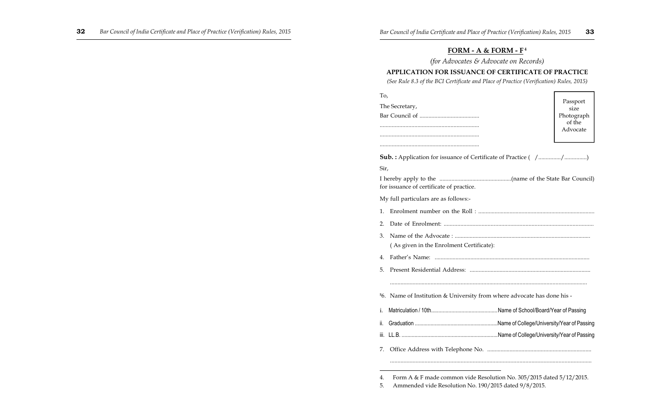## **FORM - A & FORM - F<sup>4</sup>**

*(for Advocates & Advocate on Records)*

## **APPLICATION FOR ISSUANCE OF CERTIFICATE OF PRACTICE**

*(See Rule 8.3 of the BCI Certificate and Place of Practice (Verification) Rules, 2015)*

| To,            |                                                                          |                    |
|----------------|--------------------------------------------------------------------------|--------------------|
| The Secretary, |                                                                          | Passport<br>size   |
|                |                                                                          | Photograph         |
|                |                                                                          | of the<br>Advocate |
|                |                                                                          |                    |
|                |                                                                          |                    |
|                | <b>Sub.:</b> Application for issuance of Certificate of Practice ( / / ) |                    |
| Sir,           |                                                                          |                    |
|                | for issuance of certificate of practice.                                 |                    |
|                | My full particulars are as follows:-                                     |                    |
| 1.             |                                                                          |                    |
| 2.             |                                                                          |                    |
| 3.             | (As given in the Enrolment Certificate):                                 |                    |
| 4.             |                                                                          |                    |
| 5.             |                                                                          |                    |
|                |                                                                          |                    |
|                | 56. Name of Institution & University from where advocate has done his -  |                    |
| i.             |                                                                          |                    |
| ii.            |                                                                          |                    |
| iii.           |                                                                          |                    |
| 7.             |                                                                          |                    |
|                |                                                                          |                    |

<sup>4.</sup> Form A & F made common vide Resolution No. 305/2015 dated 5/12/2015.

<sup>5.</sup> Ammended vide Resolution No. 190/2015 dated 9/8/2015.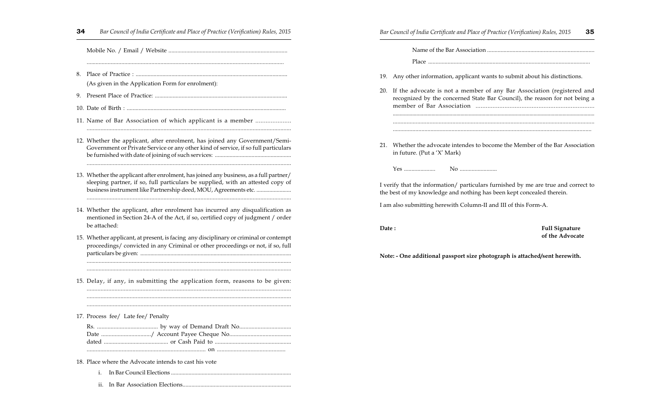...................................................................................................................................

Mobile No. / Email / Website ................................................................................

- 8. Place of Practice : ...................................................................................................... (As given in the Application Form for enrolment):
- 9. Present Place of Practice: .........................................................................................
- 10. Date of Birth : ...........................................................................................................
- 11. Name of Bar Association of which applicant is a member .....................

.....................................................................................................................................

- 12. Whether the applicant, after enrolment, has joined any Government/Semi-Government or Private Service or any other kind of service, if so full particulars be furnished with date of joining of such services: .................................................... .....................................................................................................................................
- 13. Whether the applicant after enrolment, has joined any business, as a full partner/ sleeping partner, if so, full particulars be supplied, with an attested copy of business instrument like Partnership deed, MOU, Agreements etc. ........................ .....................................................................................................................................
- 14. Whether the applicant, after enrolment has incurred any disqualification as mentioned in Section 24-A of the Act, if so, certified copy of judgment / order be attached:
- 15. Whether applicant, at present, is facing any disciplinary or criminal or contempt proceedings/ convicted in any Criminal or other proceedings or not, if so, full particulars be given: .........................................................................................................

........................................................................................................................................

15. Delay, if any, in submitting the application form, reasons to be given:

........................................................................................................................................

.................................................................................................................................... ..................................................................................................................................... .....................................................................................................................................

17. Process fee/ Late fee/ Penalty

18. Place where the Advocate intends to cast his vote

- i. In Bar Council Elections ..................................................................................
- ii. In Bar Association Elections.........................................................................

**34** *Bar Council of India Certificate and Place of Practice (Verification) Rules, 2015 Bar Council of India Certificate and Place of Practice (Verification) Rules, 2015* **35**

Name of the Bar Association ........................................................................

Place ............................................................................................................

- 19. Any other information, applicant wants to submit about his distinctions.
- 20. If the advocate is not a member of any Bar Association (registered and recognized by the concerned State Bar Council), the reason for not being a member of Bar Association ...................................................................... .................................................................................................................................................. ....................................................................................................................................
- 21. Whether the advocate intendes to bocome the Member of the Bar Association in future. (Put a 'X' Mark)

....................................................................................................................................

Yes ..................... No .........................

I verify that the information/ particulars furnished by me are true and correct to the best of my knowledge and nothing has been kept concealed therein.

I am also submitting herewith Column-II and III of this Form-A.

**Date : Full Signature of the Advocate**

**Note: - One additional passport size photograph is attached/sent herewith.**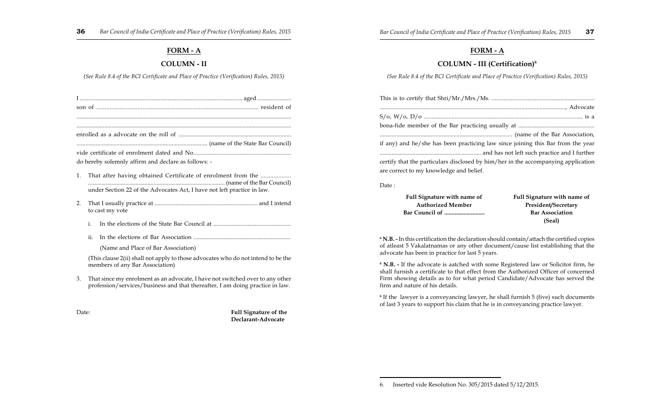### **FORM - A**

### **COLUMN - II**

#### *(See Rule 8.4 of the BCI Certificate and Place of Practice (Verification) Rules, 2015)*

| son of |  |  |
|--------|--|--|

...................................................................................................................................................

.................................................................................................................................................. enrolled as a advocate on the roll of ..........................................................................

........................................................................................ (name of the State Bar Council)

vide certificate of enrolment dated and No................................................................ do hereby solemnly affirm and declare as follows: -

- 1. That after having obtained Certificate of enrolment from the ................... ............................................................................................ (name of the Bar Council) under Section 22 of the Advocates Act, I have not left practice in law.
- 2. That I usually practice at ..................................................................... and I intend to cast my vote
	- i. In the elections of the State Bar Council at ....................................................
	- ii. In the elections of Bar Association .................................................................

(Name and Place of Bar Association)

(This clause 2(ii) shall not apply to those advocates who do not intend to be the members of any Bar Association)

3. That since my enrolment as an advocate, I have not switched over to any other profession/services/business and that thereafter, I am doing practice in law.

Date: **Full Signature of the Declarant-Advocate**

### **FORM - A**

#### **COLUMN - III (Certification)<sup>6</sup>**

*(See Rule 8.4 of the BCI Certificate and Place of Practice (Verification) Rules, 2015)*

| if any) and he/she has been practicing law since joining this Bar from the year   |
|-----------------------------------------------------------------------------------|
|                                                                                   |
| certify that the particulars disclosed by him/her in the accompanying application |
| are correct to my knowledge and belief.                                           |
|                                                                                   |

Date :

| Full Signature with name of | <b>Full Signature with name of</b> |
|-----------------------------|------------------------------------|
| <b>Authorized Member</b>    | President/Secretary                |
|                             | <b>Bar Association</b>             |
|                             | (Seal)                             |

**6 N.B. -** In this certification the declaration should contain/attach the certified copies of atleast 5 Vakalatnamas or any other document/cause list establishing that the advocate has been in practice for last 5 years.

**6 N.B. -** If the advocate is aatched with some Registered law or Solicitor firm, he shall furnish a certificate to that effect from the Authorized Officer of concerned Firm showing details as to for what period Candidate/Advocate has served the firm and nature of his details.

**6** If the lawyer is a conveyancing lawyer, he shall furnish 5 (five) such documents of last 3 years to support his claim that he is in conveyancing practice lawyer.

<sup>6.</sup> Inserted vide Resolution No. 305/2015 dated 5/12/2015.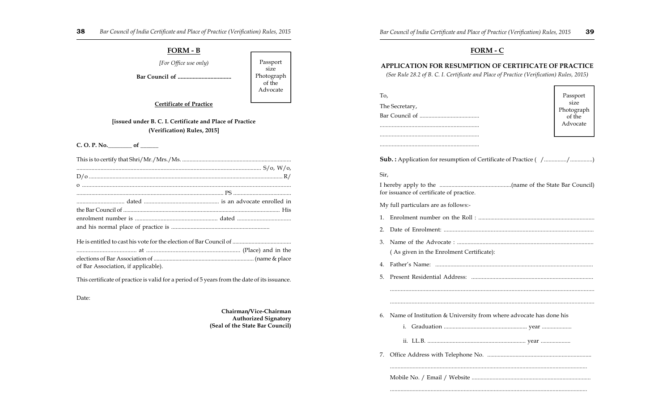**FORM - B** *[For Office use only)* **Bar Council of .................................... Certificate of Practice [issued under B. C. I. Certificate and Place of Practice (Verification) Rules, 2015] C. O. P. No.\_\_\_\_\_\_\_\_ of \_\_\_\_\_\_** This is to certify that Shri/Mr./Mrs./Ms. .......................................................................... ........................................................................................................................... S/o, W/o, D/o ................................................................................................................................... R/ o ........................................................................................................................................ ................................................................................................... PS ....................................... ................................ dated .................................................. is an advocate enrolled in the Bar Council of ........................................................................................................... His enrolment number is ....................................................... dated .................................... and his normal place of practice is .................................................................. He is entitled to cast his vote for the election of Bar Council of ........................................ ....................................... at ............................................................. (Place) and in the elections of Bar Association of ..................................................................... (name & place of Bar Association, if applicable). This certificate of practice is valid for a period of 5 years from the date of its issuance. Date: **Chairman/Vice-Chairman** Passport size Photograph of the Advocate

**APPLICATION FOR RESUMPTION OF CERTIFICATE OF PRACTICE** *(See Rule 28.2 of B. C. I. Certificate and Place of Practice (Verification) Rules, 2015)* To, The Secretary, Bar Council of ........................................ .................................................................. .................................................................. **Sub.**: Application for resumption of Certificate of Practice ( /............../...............) Sir, I hereby apply to the ................................................(name of the State Bar Council) for issuance of certificate of practice. My full particulars are as follows:- 1. Enrolment number on the Roll : .............................................................................. 2. Date of Enrolment: ................................................................................................... 3. Name of the Advocate : ........................................................................................... ( As given in the Enrolment Certificate): 4. Father's Name: ........................................................................................................ 5. Present Residential Address: ................................................................................. ..................................................................................................................................... ..................................................................................................................................... 6. Name of Institution & University from where advocate has done his i. Graduation ........................................................ year .................... ii. LL.B. .................................................................. year .................... 7. Office Address with Telephone No. ...................................................................... Passport size Photograph of the Advocate

#### **FORM - C**

#### **38** *Bar Council of India Certificate and Place of Practice (Verification) Rules, 2015 Bar Council of India Certificate and Place of Practice (Verification) Rules, 2015* **39**

Mobile No. / Email / Website ................................................................................

...................................................................................................................................

...................................................................................................................................

**Authorized Signatory (Seal of the State Bar Council)**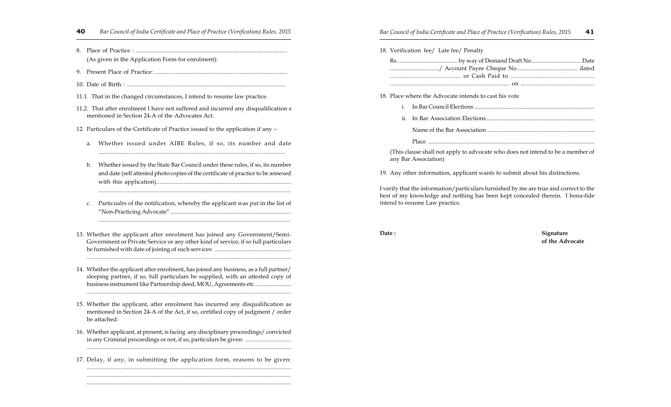- **40** *Bar Council of India Certificate and Place of Practice (Verification) Rules, 2015 Bar Council of India Certificate and Place of Practice (Verification) Rules, 2015* **41**
- 8. Place of Practice : ...................................................................................................... (As given in the Application Form for enrolment):
- 9. Present Place of Practice: .........................................................................................
- 10. Date of Birth : ...........................................................................................................
- 11.1. That in the changed circumstances, I intend to resume law practice.
- 11.2. That after enrolment I have not suffered and incurred any disqualification s mentioned in Section 24-A of the Advocates Act.
- 12. Particulars of the Certificate of Practice issued to the application if any :
	- a. Whether issued under AIBE Rules, if so, its number and date ............................................................................................................................
	- b. Whether issued by the State Bar Council under these rules, if so, its number and date (self attested photo copies of the certificate of practice to be annexed with this application)......................................................................................... ..............................................................................................................................
	- c. Particualrs of the notification, whereby the applicant was put in the list of "Non-Practicing Advocate" ..................................................................................

.............................................................................................................................

- 13. Whether the applicant after enrolment has joined any Government/Semi-Government or Private Service or any other kind of service, if so full particulars be furnished with date of joining of such services: .................................................... .....................................................................................................................................
- 14. Whether the applicant after enrolment, has joined any business, as a full partner/ sleeping partner, if so, full particulars be supplied, with an attested copy of business instrument like Partnership deed, MOU, Agreements etc. ........................ .....................................................................................................................................
- 15. Whether the applicant, after enrolment has incurred any disqualification as mentioned in Section 24-A of the Act, if so, certified copy of judgment / order be attached:
- 16. Whether applicant, at present, is facing any disciplinary proceedings/ convicted in any Criminal proceedings or not, if so, particulars be given: .................................. .....................................................................................................................................
- 17. Delay, if any, in submitting the application form, reasons to be given: ....................................................................................................................................

..................................................................................................................................... ........................................................................................................................................

| 41<br>Bar Council of India Certificate and Place of Practice (Verification) Rules, 2015 |  |
|-----------------------------------------------------------------------------------------|--|
| 18. Verification fee/ Late fee/ Penalty                                                 |  |
|                                                                                         |  |
| 18. Place where the Advocate intends to cast his vote<br>i.                             |  |

ii. In Bar Association Elections......................................................................... Name of the Bar Association ........................................................................ Place ...............................................................................................................

(This clause shall not apply to advocate who does not intend to be a member of any Bar Association)

19. Any other information, applicant wants to submit about his distinctions.

I verify that the information/particulars furnished by me are true and correct to the best of my knowledge and nothing has been kept concealed therein. I bona-fide intend to resume Law practice.

Date : Signature **of the Advocate**